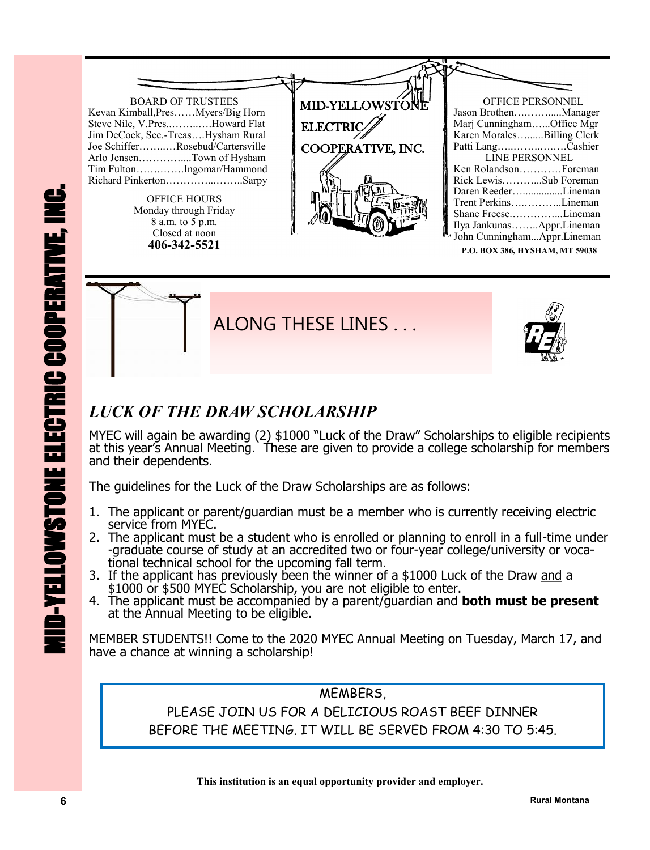

**P.O. BOX 386, HYSHAM, MT 59038**



## *LUCK OF THE DRAW SCHOLARSHIP*

MYEC will again be awarding (2) \$1000 "Luck of the Draw" Scholarships to eligible recipients at this year's Annual Meeting. These are given to provide a college scholarship for members and their dependents.

The guidelines for the Luck of the Draw Scholarships are as follows:

- 1. The applicant or parent/guardian must be a member who is currently receiving electric service from MYEC.
- 2. The applicant must be a student who is enrolled or planning to enroll in a full-time under -graduate course of study at an accredited two or four-year college/university or vocational technical school for the upcoming fall term.
- 3. If the applicant has previously been the winner of a \$1000 Luck of the Draw and a \$1000 or \$500 MYEC Scholarship, you are not eligible to enter.
- 4. The applicant must be accompanied by a parent/guardian and **both must be present** at the Annual Meeting to be eligible.

MEMBER STUDENTS!! Come to the 2020 MYEC Annual Meeting on Tuesday, March 17, and have a chance at winning a scholarship!

MEMBER STUDENTS!! Come to the 2020 MYEC Annual Meeting on Tuesday, March 17, a<br>have a chance at winning a scholarship!<br>**ALEMBERS,**<br>**RUEASE JOIN US FOR A DELICIOUS ROAST BEEF DINNER<br>BEFORE THE MEETING. IT WILL BE SERVED FRO** MEMBERS, PLEASE JOIN US FOR A DELICIOUS ROAST BEEF DINNER BEFORE THE MEETING. IT WILL BE SERVED FROM 4:30 TO 5:45.

 **This institution is an equal opportunity provider and employer.**